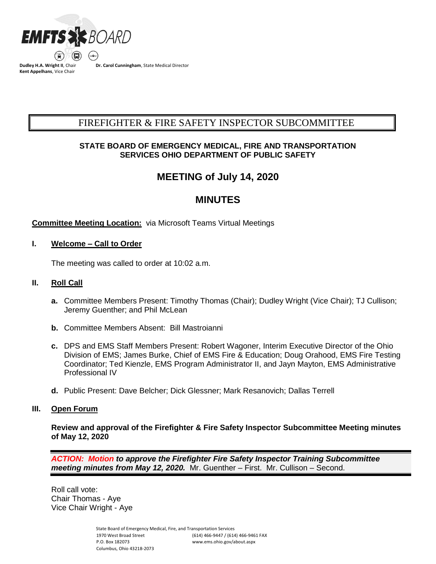

**Dudley H.A. Wright II**, Chair **Kent Appelhans**, Vice Chair

**Dr. Carol Cunningham**, State Medical Director

# FIREFIGHTER & FIRE SAFETY INSPECTOR SUBCOMMITTEE BCSUBCOMMITTEE COMMITTEESUBCOMMITTEE COMMITTEE COMMITTEESUBCOMMITTEE COMMITTEE COMMITTEE COMMITTEE COMMITTEE C

# **STATE BOARD OF EMERGENCY MEDICAL, FIRE AND TRANSPORTATION SERVICES OHIO DEPARTMENT OF PUBLIC SAFETY**

# **MEETING of July 14, 2020**

# **MINUTES**

# **Committee Meeting Location:** via Microsoft Teams Virtual Meetings

## **I. Welcome – Call to Order**

The meeting was called to order at 10:02 a.m.

## **II. Roll Call**

- **a.** Committee Members Present: Timothy Thomas (Chair); Dudley Wright (Vice Chair); TJ Cullison; Jeremy Guenther; and Phil McLean
- **b.** Committee Members Absent: Bill Mastroianni
- **c.** DPS and EMS Staff Members Present: Robert Wagoner, Interim Executive Director of the Ohio Division of EMS; James Burke, Chief of EMS Fire & Education; Doug Orahood, EMS Fire Testing Coordinator; Ted Kienzle, EMS Program Administrator II, and Jayn Mayton, EMS Administrative Professional IV
- **d.** Public Present: Dave Belcher; Dick Glessner; Mark Resanovich; Dallas Terrell

#### **III. Open Forum**

**Review and approval of the Firefighter & Fire Safety Inspector Subcommittee Meeting minutes of May 12, 2020**

*ACTION: Motion to approve the Firefighter Fire Safety Inspector Training Subcommittee meeting minutes from May 12, 2020.*Mr. Guenther – First. Mr. Cullison – Second.

Roll call vote: Chair Thomas - Aye Vice Chair Wright - Aye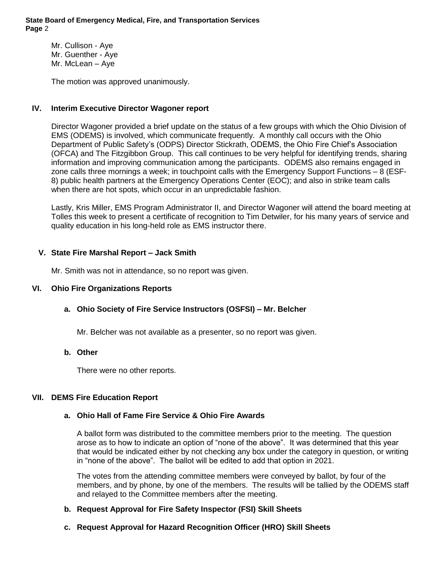Mr. Cullison - Aye Mr. Guenther - Aye Mr. McLean – Aye

The motion was approved unanimously.

# **IV. Interim Executive Director Wagoner report**

Director Wagoner provided a brief update on the status of a few groups with which the Ohio Division of EMS (ODEMS) is involved, which communicate frequently. A monthly call occurs with the Ohio Department of Public Safety's (ODPS) Director Stickrath, ODEMS, the Ohio Fire Chief's Association (OFCA) and The Fitzgibbon Group. This call continues to be very helpful for identifying trends, sharing information and improving communication among the participants. ODEMS also remains engaged in zone calls three mornings a week; in touchpoint calls with the Emergency Support Functions – 8 (ESF-8) public health partners at the Emergency Operations Center (EOC); and also in strike team calls when there are hot spots, which occur in an unpredictable fashion.

Lastly, Kris Miller, EMS Program Administrator II, and Director Wagoner will attend the board meeting at Tolles this week to present a certificate of recognition to Tim Detwiler, for his many years of service and quality education in his long-held role as EMS instructor there.

# **V. State Fire Marshal Report – Jack Smith**

Mr. Smith was not in attendance, so no report was given.

# **VI. Ohio Fire Organizations Reports**

# **a. Ohio Society of Fire Service Instructors (OSFSI) – Mr. Belcher**

Mr. Belcher was not available as a presenter, so no report was given.

## **b. Other**

There were no other reports.

#### **VII. DEMS Fire Education Report**

#### **a. Ohio Hall of Fame Fire Service & Ohio Fire Awards**

A ballot form was distributed to the committee members prior to the meeting. The question arose as to how to indicate an option of "none of the above". It was determined that this year that would be indicated either by not checking any box under the category in question, or writing in "none of the above". The ballot will be edited to add that option in 2021.

The votes from the attending committee members were conveyed by ballot, by four of the members, and by phone, by one of the members. The results will be tallied by the ODEMS staff and relayed to the Committee members after the meeting.

# **b. Request Approval for Fire Safety Inspector (FSI) Skill Sheets**

# **c. Request Approval for Hazard Recognition Officer (HRO) Skill Sheets**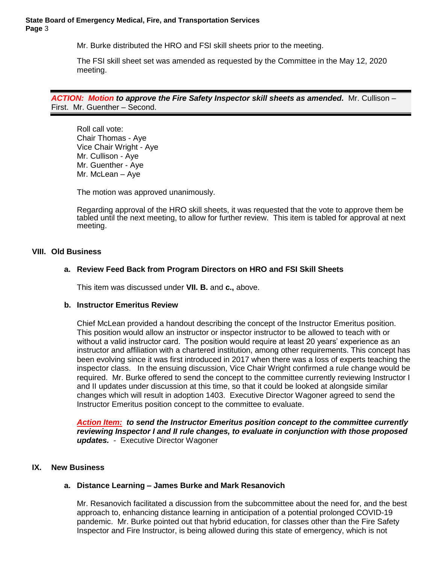#### **State Board of Emergency Medical, Fire, and Transportation Services Page** 3

Mr. Burke distributed the HRO and FSI skill sheets prior to the meeting.

The FSI skill sheet set was amended as requested by the Committee in the May 12, 2020 meeting.

*ACTION: Motion to approve the Fire Safety Inspector skill sheets as amended.*Mr. Cullison – First. Mr. Guenther – Second.

Roll call vote: Chair Thomas - Aye Vice Chair Wright - Aye Mr. Cullison - Aye Mr. Guenther - Aye Mr. McLean – Aye

The motion was approved unanimously.

Regarding approval of the HRO skill sheets, it was requested that the vote to approve them be tabled until the next meeting, to allow for further review. This item is tabled for approval at next meeting.

#### **VIII. Old Business**

## **a. Review Feed Back from Program Directors on HRO and FSI Skill Sheets**

This item was discussed under **VII. B.** and **c.,** above.

#### **b. Instructor Emeritus Review**

Chief McLean provided a handout describing the concept of the Instructor Emeritus position. This position would allow an instructor or inspector instructor to be allowed to teach with or without a valid instructor card. The position would require at least 20 years' experience as an instructor and affiliation with a chartered institution, among other requirements. This concept has been evolving since it was first introduced in 2017 when there was a loss of experts teaching the inspector class. In the ensuing discussion, Vice Chair Wright confirmed a rule change would be required. Mr. Burke offered to send the concept to the committee currently reviewing Instructor I and II updates under discussion at this time, so that it could be looked at alongside similar changes which will result in adoption 1403. Executive Director Wagoner agreed to send the Instructor Emeritus position concept to the committee to evaluate.

*Action Item:**to send the Instructor Emeritus position concept to the committee currently reviewing Inspector I and II rule changes, to evaluate in conjunction with those proposed updates.* - Executive Director Wagoner

#### **IX. New Business**

## **a. Distance Learning – James Burke and Mark Resanovich**

Mr. Resanovich facilitated a discussion from the subcommittee about the need for, and the best approach to, enhancing distance learning in anticipation of a potential prolonged COVID-19 pandemic. Mr. Burke pointed out that hybrid education, for classes other than the Fire Safety Inspector and Fire Instructor, is being allowed during this state of emergency, which is not